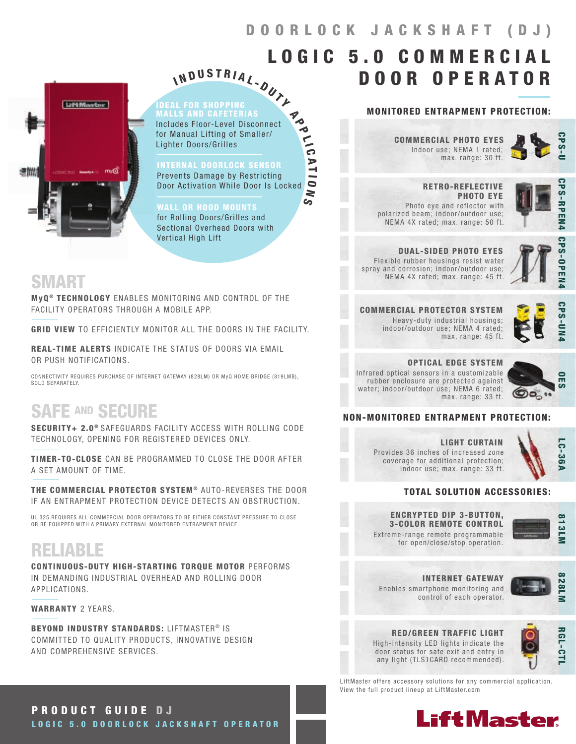$LOGIC<sub>5.0</sub>$  COMMERCI

# LiftMaster 透明

MALLS AND CAFETERIAS Includes Floor-Level Disconnect for Manual Lifting of Smaller/ Lighter Doors/Grilles N D U S T R I A L - OUTLAND WAT

I

#### INTERNAL DOORLOCK SENSOR

Prevents Damage by Restricting Door Activation While Door Is Locked O  $\tilde{}$ 

**Po** 

 $\frac{1}{10}$ 

A T I

 $\mathbf{S}$ 

WALL OR HOOD MOUNTS for Rolling Doors/Grilles and Sectional Overhead Doors with Vertical High Lift

## SMART

MyQ<sup>®</sup> TECHNOLOGY ENABLES MONITORING AND CONTROL OF THE FACILITY OPERATORS THROUGH A MOBILE APP.

GRID VIEW TO EFFICIENTLY MONITOR ALL THE DOORS IN THE FACILITY.

REAL-TIME ALERTS INDICATE THE STATUS OF DOORS VIA EMAIL OR PUSH NOTIFICATIONS.

CONNECTIVITY REQUIRES PURCHASE OF INTERNET GATEWAY (828LM) OR MyQ HOME BRIDGE (819LMB), SOLD SEPARATELY

# SAFE AND SECURE

SECURITY+ 2.0<sup>®</sup> SAFEGUARDS FACILITY ACCESS WITH ROLLING CODE TECHNOLOGY, OPENING FOR REGISTERED DEVICES ONLY.

TIMER-TO-CLOSE CAN BE PROGRAMMED TO CLOSE THE DOOR AFTER A SET AMOUNT OF TIME.

THE COMMERCIAL PROTECTOR SYSTEM® AUTO-REVERSES THE DOOR IF AN ENTRAPMENT PROTECTION DEVICE DETECTS AN OBSTRUCTION.

UL 325 REQUIRES ALL COMMERCIAL DOOR OPERATORS TO BE EITHER CONSTANT PRESSURE TO CLOSE OR BE EQUIPPED WITH A PRIMARY EXTERNAL MONITORED ENTRAPMENT DEVICE.

# RELIABLE

CONTINUOUS-DUTY HIGH-STARTING TORQUE MOTOR PERFORMS IN DEMANDING INDUSTRIAL OVERHEAD AND ROLLING DOOR APPLICATIONS.

WARRANTY 2 YEARS.

BEYOND INDUSTRY STANDARDS: LIFTMASTER® IS COMMITTED TO QUALITY PRODUCTS, INNOVATIVE DESIGN AND COMPREHENSIVE SERVICES.

#### MONITORED ENTRAPMENT PROTECTION:

DOOR OPERATOR

Indoor use; NEMA 1 rated; max. range: 30 ft. COMMERCIAL PHOTO EYES



 RETRO-REFLECTIVE PHOTO EYE Photo eye and reflector with polarized beam; indoor/outdoor use; NEMA 4X rated; max. range: 50 ft.



DUAL-SIDED PHOTO EYES Flexible rubber housings resist water spray and corrosion; indoor/outdoor use; NEMA 4X rated; max. range: 45 ft.



**CPS-OPEN** 

**CPS-UN** 

COMMERCIAL PROTECTOR SYSTEM Heavy-duty industrial housings; indoor/outdoor use; NEMA 4 rated;

max. range: 45 ft.

OPTICAL EDGE SYSTEM Infrared optical sensors in a customizable rubber enclosure are protected against water; indoor/outdoor use; NEMA 6 rated; max. range: 33 ft.



#### NON-MONITORED ENTRAPMENT PROTECTION:

LIGHT CURTAIN Provides 36 inches of increased zone coverage for additional protection; indoor use; max. range: 33 ft.



#### TOTAL SOLUTION ACCESSORIES:

Extreme-range remote programmable ENCRYPTED DIP 3-BUTTON, 3-COLOR REMOTE CONTROL

for open/close/stop operation.

control of each operator.



Enables smartphone monitoring and INTERNET GATEWAY



RED/GREEN TRAFFIC LIGHT High-intensity LED lights indicate the door status for safe exit and entry in any light (TLS1CARD recommended).



LiftMaster offers accessory solutions for any commercial application. View the full product lineup at LiftMaster.com



PRODUCT GUIDE D J LOGIC 5.0 DOORLOCK JACKSHAFT OPERATOR